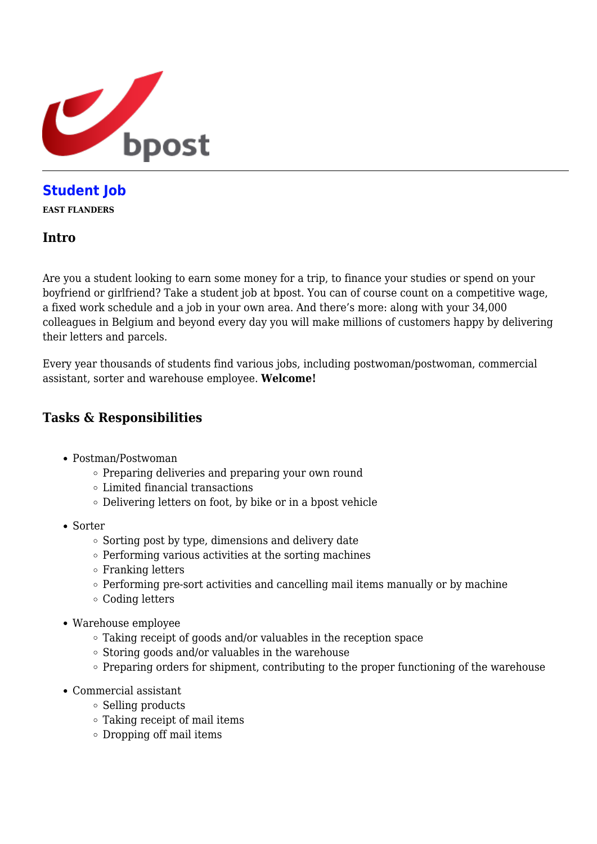

# **[Student Job](https://career.bpost.be/en/vacancy/east-flanders/student-job/1212659)**

**EAST FLANDERS**

#### **Intro**

Are you a student looking to earn some money for a trip, to finance your studies or spend on your boyfriend or girlfriend? Take a student job at bpost. You can of course count on a competitive wage, a fixed work schedule and a job in your own area. And there's more: along with your 34,000 colleagues in Belgium and beyond every day you will make millions of customers happy by delivering their letters and parcels.

Every year thousands of students find various jobs, including postwoman/postwoman, commercial assistant, sorter and warehouse employee. **Welcome!**

### **Tasks & Responsibilities**

- Postman/Postwoman
	- $\circ$  Preparing deliveries and preparing your own round
	- Limited financial transactions
	- Delivering letters on foot, by bike or in a bpost vehicle
- Sorter
	- $\circ$  Sorting post by type, dimensions and delivery date
	- $\circ$  Performing various activities at the sorting machines
	- $\circ$  Franking letters
	- $\circ$  Performing pre-sort activities and cancelling mail items manually or by machine
	- Coding letters
- Warehouse employee
	- Taking receipt of goods and/or valuables in the reception space
	- $\circ$  Storing goods and/or valuables in the warehouse
	- $\circ$  Preparing orders for shipment, contributing to the proper functioning of the warehouse
- Commercial assistant
	- $\circ$  Selling products
	- Taking receipt of mail items
	- Dropping off mail items